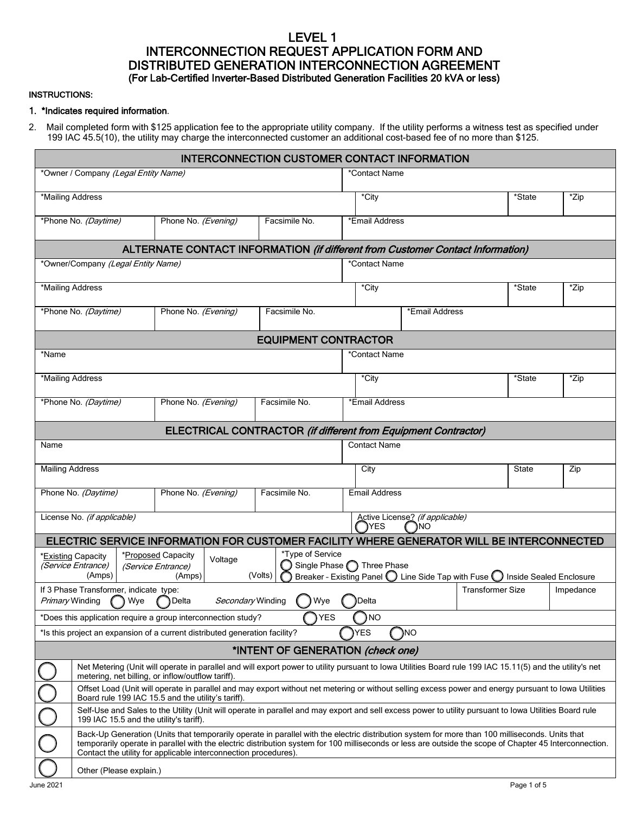# LEVEL 1 INTERCONNECTION REQUEST APPLICATION FORM AND<br>DISTRIBUTED GENERATION INTERCONNECTION AGREEMENT (For Lab-Certified Inverter-Based Distributed Generation Facilities 20 kVA or less)

#### INSTRUCTIONS:

#### 1. \*Indicates required information.

2. Mail completed form with \$125 application fee to the appropriate utility company. If the utility performs a witness test as specified under 199 IAC 45.5(10), the utility may charge the interconnected customer an additional cost-based fee of no more than \$125.

|                                                                                          |                                                                                                                                                                                                                                                                                                                                                                              |  |                                                                             |         | <b>INTERCONNECTION CUSTOMER CONTACT INFORMATION</b>                                       |                     |                            |                                                                              |                         |                             |           |  |
|------------------------------------------------------------------------------------------|------------------------------------------------------------------------------------------------------------------------------------------------------------------------------------------------------------------------------------------------------------------------------------------------------------------------------------------------------------------------------|--|-----------------------------------------------------------------------------|---------|-------------------------------------------------------------------------------------------|---------------------|----------------------------|------------------------------------------------------------------------------|-------------------------|-----------------------------|-----------|--|
| *Owner / Company (Legal Entity Name)                                                     |                                                                                                                                                                                                                                                                                                                                                                              |  |                                                                             |         | *Contact Name                                                                             |                     |                            |                                                                              |                         |                             |           |  |
| *Mailing Address                                                                         |                                                                                                                                                                                                                                                                                                                                                                              |  |                                                                             |         |                                                                                           |                     | *City<br>*State            |                                                                              |                         | $\overline{z}$ ip           |           |  |
|                                                                                          | *Phone No. (Daytime)<br>Phone No. (Evening)<br>Facsimile No.                                                                                                                                                                                                                                                                                                                 |  |                                                                             |         |                                                                                           |                     | *Email Address             |                                                                              |                         |                             |           |  |
| ALTERNATE CONTACT INFORMATION (if different from Customer Contact Information)           |                                                                                                                                                                                                                                                                                                                                                                              |  |                                                                             |         |                                                                                           |                     |                            |                                                                              |                         |                             |           |  |
| *Owner/Company (Legal Entity Name)                                                       |                                                                                                                                                                                                                                                                                                                                                                              |  |                                                                             |         |                                                                                           | *Contact Name       |                            |                                                                              |                         |                             |           |  |
| *Mailing Address                                                                         |                                                                                                                                                                                                                                                                                                                                                                              |  |                                                                             |         |                                                                                           |                     | *City<br>*State            |                                                                              |                         | *Zip                        |           |  |
| *Phone No. (Daytime)<br>Phone No. (Evening)<br>Facsimile No.                             |                                                                                                                                                                                                                                                                                                                                                                              |  |                                                                             |         | *Email Address                                                                            |                     |                            |                                                                              |                         |                             |           |  |
| <b>EQUIPMENT CONTRACTOR</b>                                                              |                                                                                                                                                                                                                                                                                                                                                                              |  |                                                                             |         |                                                                                           |                     |                            |                                                                              |                         |                             |           |  |
| *Name                                                                                    |                                                                                                                                                                                                                                                                                                                                                                              |  |                                                                             |         |                                                                                           |                     | *Contact Name              |                                                                              |                         |                             |           |  |
| *Mailing Address                                                                         |                                                                                                                                                                                                                                                                                                                                                                              |  |                                                                             |         |                                                                                           |                     | *City                      |                                                                              |                         | $\overline{\text{``State}}$ | *Zip      |  |
|                                                                                          | *Phone No. (Daytime)                                                                                                                                                                                                                                                                                                                                                         |  | Phone No. (Evening)                                                         |         | Facsimile No.                                                                             |                     | *Email Address             |                                                                              |                         |                             |           |  |
|                                                                                          | ELECTRICAL CONTRACTOR (if different from Equipment Contractor)                                                                                                                                                                                                                                                                                                               |  |                                                                             |         |                                                                                           |                     |                            |                                                                              |                         |                             |           |  |
| Name                                                                                     |                                                                                                                                                                                                                                                                                                                                                                              |  |                                                                             |         |                                                                                           | <b>Contact Name</b> |                            |                                                                              |                         |                             |           |  |
| <b>Mailing Address</b>                                                                   |                                                                                                                                                                                                                                                                                                                                                                              |  |                                                                             |         |                                                                                           |                     | City                       |                                                                              |                         | <b>State</b>                | Zip       |  |
|                                                                                          | Phone No. (Daytime)                                                                                                                                                                                                                                                                                                                                                          |  | Phone No. (Evening)                                                         |         | Facsimile No.                                                                             |                     | <b>Email Address</b>       |                                                                              |                         |                             |           |  |
| License No. (if applicable)<br>Active License? (if applicable)<br>YES<br>ΝO              |                                                                                                                                                                                                                                                                                                                                                                              |  |                                                                             |         |                                                                                           |                     |                            |                                                                              |                         |                             |           |  |
|                                                                                          |                                                                                                                                                                                                                                                                                                                                                                              |  |                                                                             |         | ELECTRIC SERVICE INFORMATION FOR CUSTOMER FACILITY WHERE GENERATOR WILL BE INTERCONNECTED |                     |                            |                                                                              |                         |                             |           |  |
|                                                                                          | *Existing Capacity<br>(Service Entrance)<br>(Amps)                                                                                                                                                                                                                                                                                                                           |  | *Proposed Capacity<br>(Service Entrance)<br>(Amps)                          | Voltage | *Type of Service<br>(Volts)                                                               |                     | Single Phase n Three Phase | Breaker - Existing Panel   Line Side Tap with Fuse   Inside Sealed Enclosure |                         |                             |           |  |
|                                                                                          | If 3 Phase Transformer, indicate type:                                                                                                                                                                                                                                                                                                                                       |  |                                                                             |         |                                                                                           |                     |                            |                                                                              | <b>Transformer Size</b> |                             | Impedance |  |
| Primary Winding<br>Secondary Winding<br>Wye<br>)Delta<br>Wye<br>Delta                    |                                                                                                                                                                                                                                                                                                                                                                              |  |                                                                             |         |                                                                                           |                     |                            |                                                                              |                         |                             |           |  |
| <b>YES</b><br><b>NO</b><br>*Does this application require a group interconnection study? |                                                                                                                                                                                                                                                                                                                                                                              |  |                                                                             |         |                                                                                           |                     |                            |                                                                              |                         |                             |           |  |
|                                                                                          |                                                                                                                                                                                                                                                                                                                                                                              |  | *Is this project an expansion of a current distributed generation facility? |         |                                                                                           |                     | YES                        | ΝO                                                                           |                         |                             |           |  |
| *INTENT OF GENERATION (check one)                                                        |                                                                                                                                                                                                                                                                                                                                                                              |  |                                                                             |         |                                                                                           |                     |                            |                                                                              |                         |                             |           |  |
|                                                                                          | Net Metering (Unit will operate in parallel and will export power to utility pursuant to lowa Utilities Board rule 199 IAC 15.11(5) and the utility's net<br>metering, net billing, or inflow/outflow tariff).                                                                                                                                                               |  |                                                                             |         |                                                                                           |                     |                            |                                                                              |                         |                             |           |  |
|                                                                                          | Offset Load (Unit will operate in parallel and may export without net metering or without selling excess power and energy pursuant to lowa Utilities<br>Board rule 199 IAC 15.5 and the utility's tariff).                                                                                                                                                                   |  |                                                                             |         |                                                                                           |                     |                            |                                                                              |                         |                             |           |  |
|                                                                                          | Self-Use and Sales to the Utility (Unit will operate in parallel and may export and sell excess power to utility pursuant to lowa Utilities Board rule<br>199 IAC 15.5 and the utility's tariff).                                                                                                                                                                            |  |                                                                             |         |                                                                                           |                     |                            |                                                                              |                         |                             |           |  |
|                                                                                          | Back-Up Generation (Units that temporarily operate in parallel with the electric distribution system for more than 100 milliseconds. Units that<br>temporarily operate in parallel with the electric distribution system for 100 milliseconds or less are outside the scope of Chapter 45 Interconnection.<br>Contact the utility for applicable interconnection procedures) |  |                                                                             |         |                                                                                           |                     |                            |                                                                              |                         |                             |           |  |
|                                                                                          | Other (Please explain.)                                                                                                                                                                                                                                                                                                                                                      |  |                                                                             |         |                                                                                           |                     |                            |                                                                              |                         |                             |           |  |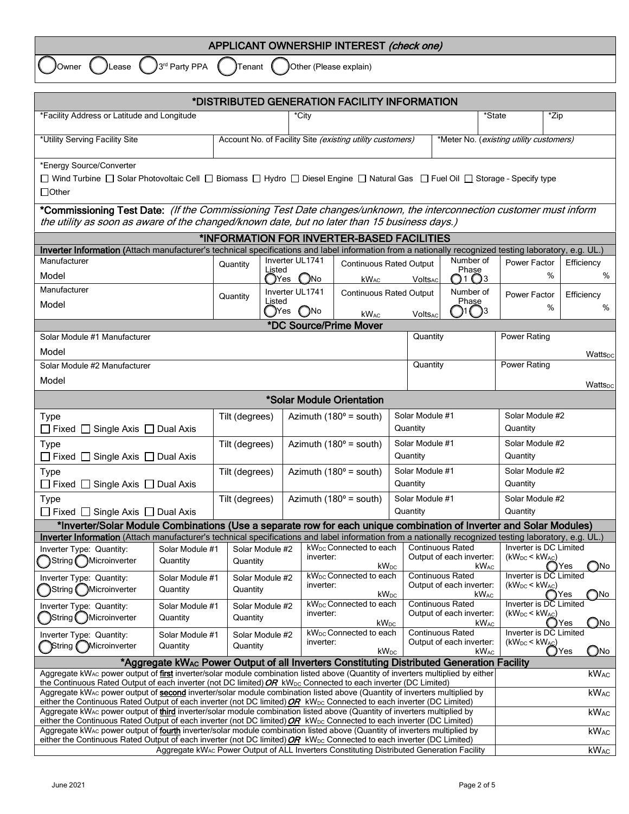| APPLICANT OWNERSHIP INTEREST (check one)                                                     |  |  |  |  |  |  |  |
|----------------------------------------------------------------------------------------------|--|--|--|--|--|--|--|
| $3^{rd}$ Party PPA $($ Tenant $($ JOther (Please explain)<br><b>J</b> Lease<br><b>JOwner</b> |  |  |  |  |  |  |  |
|                                                                                              |  |  |  |  |  |  |  |

| *DISTRIBUTED GENERATION FACILITY INFORMATION                                                                                                                                                                                                                                       |                                                                                                                                |                    |                          |                 |                                                                         |                                         |                                                     |                                                     |                             |                          |                      |  |
|------------------------------------------------------------------------------------------------------------------------------------------------------------------------------------------------------------------------------------------------------------------------------------|--------------------------------------------------------------------------------------------------------------------------------|--------------------|--------------------------|-----------------|-------------------------------------------------------------------------|-----------------------------------------|-----------------------------------------------------|-----------------------------------------------------|-----------------------------|--------------------------|----------------------|--|
| *Facility Address or Latitude and Longitude                                                                                                                                                                                                                                        | *City                                                                                                                          |                    |                          |                 |                                                                         |                                         |                                                     | *State                                              | *Zip                        |                          |                      |  |
| *Utility Serving Facility Site                                                                                                                                                                                                                                                     | Account No. of Facility Site (existing utility customers)                                                                      |                    |                          |                 |                                                                         | *Meter No. (existing utility customers) |                                                     |                                                     |                             |                          |                      |  |
| *Energy Source/Converter                                                                                                                                                                                                                                                           |                                                                                                                                |                    |                          |                 |                                                                         |                                         |                                                     |                                                     |                             |                          |                      |  |
|                                                                                                                                                                                                                                                                                    | □ Wind Turbine □ Solar Photovoltaic Cell □ Biomass □ Hydro □ Diesel Engine □ Natural Gas □ Fuel Oil □ Storage - Specify type   |                    |                          |                 |                                                                         |                                         |                                                     |                                                     |                             |                          |                      |  |
| $\Box$ Other                                                                                                                                                                                                                                                                       |                                                                                                                                |                    |                          |                 |                                                                         |                                         |                                                     |                                                     |                             |                          |                      |  |
| *Commissioning Test Date: (If the Commissioning Test Date changes/unknown, the interconnection customer must inform<br>the utility as soon as aware of the changed/known date, but no later than 15 business days.)                                                                |                                                                                                                                |                    |                          |                 |                                                                         |                                         |                                                     |                                                     |                             |                          |                      |  |
| *INFORMATION FOR INVERTER-BASED FACILITIES                                                                                                                                                                                                                                         |                                                                                                                                |                    |                          |                 |                                                                         |                                         |                                                     |                                                     |                             |                          |                      |  |
| Inverter Information (Attach manufacturer's technical specifications and label information from a nationally recognized testing laboratory, e.g. UL.)                                                                                                                              |                                                                                                                                |                    |                          |                 |                                                                         |                                         |                                                     |                                                     |                             |                          |                      |  |
| Manufacturer                                                                                                                                                                                                                                                                       |                                                                                                                                | Quantity<br>Listed |                          | Inverter UL1741 | <b>Continuous Rated Output</b>                                          |                                         |                                                     | Number of<br>Phase                                  |                             | Power Factor             | Efficiency           |  |
| Model                                                                                                                                                                                                                                                                              |                                                                                                                                |                    | (JYes                    | $O$ No          | kW <sub>AC</sub>                                                        |                                         | Volts <sub>AC</sub>                                 | $\bigcirc$ 1 $\bigcirc$ 3                           |                             | %                        | %                    |  |
| Manufacturer                                                                                                                                                                                                                                                                       |                                                                                                                                | Quantity           |                          | Inverter UL1741 | <b>Continuous Rated Output</b>                                          |                                         |                                                     | Number of<br>Phase                                  |                             | Power Factor             | Efficiency           |  |
| Model                                                                                                                                                                                                                                                                              |                                                                                                                                |                    | Listed<br>$\bigcirc$ Yes | O <sub>No</sub> |                                                                         |                                         |                                                     |                                                     | $\bigcap_{1}$ $\bigcap_{3}$ | %                        | %                    |  |
|                                                                                                                                                                                                                                                                                    |                                                                                                                                |                    |                          |                 | <b>kWAC</b><br>*DC Source/Prime Mover                                   |                                         | VoltsAd                                             |                                                     |                             |                          |                      |  |
| Solar Module #1 Manufacturer                                                                                                                                                                                                                                                       |                                                                                                                                |                    |                          |                 |                                                                         |                                         | Quantity                                            |                                                     |                             | <b>Power Rating</b>      |                      |  |
| Model                                                                                                                                                                                                                                                                              |                                                                                                                                |                    |                          |                 |                                                                         |                                         |                                                     |                                                     |                             | Watts <sub>DC</sub>      |                      |  |
| Solar Module #2 Manufacturer                                                                                                                                                                                                                                                       |                                                                                                                                |                    |                          |                 |                                                                         |                                         | Quantity                                            |                                                     |                             | Power Rating             |                      |  |
| Model                                                                                                                                                                                                                                                                              |                                                                                                                                |                    |                          |                 |                                                                         |                                         |                                                     |                                                     |                             |                          | Wattspc              |  |
|                                                                                                                                                                                                                                                                                    |                                                                                                                                |                    |                          |                 | *Solar Module Orientation                                               |                                         |                                                     |                                                     |                             |                          |                      |  |
| <b>Type</b>                                                                                                                                                                                                                                                                        |                                                                                                                                | Tilt (degrees)     |                          |                 | Azimuth ( $180^\circ$ = south)                                          |                                         | Solar Module #1                                     |                                                     |                             | Solar Module #2          |                      |  |
| $\Box$ Fixed $\Box$ Single Axis $\Box$ Dual Axis                                                                                                                                                                                                                                   |                                                                                                                                |                    |                          |                 |                                                                         | Quantity                                |                                                     |                                                     | Quantity                    |                          |                      |  |
| Type                                                                                                                                                                                                                                                                               |                                                                                                                                |                    | Tilt (degrees)           |                 | Azimuth ( $180^\circ$ = south)                                          |                                         | Solar Module #1                                     |                                                     |                             | Solar Module #2          |                      |  |
| $\Box$ Fixed $\Box$ Single Axis $\Box$ Dual Axis                                                                                                                                                                                                                                   |                                                                                                                                |                    |                          |                 |                                                                         |                                         | Quantity                                            |                                                     |                             | Quantity                 |                      |  |
| Type                                                                                                                                                                                                                                                                               |                                                                                                                                | Tilt (degrees)     |                          |                 | Azimuth ( $180^\circ$ = south)                                          |                                         | Solar Module #1                                     |                                                     |                             | Solar Module #2          |                      |  |
| □ Fixed □ Single Axis □ Dual Axis                                                                                                                                                                                                                                                  |                                                                                                                                |                    |                          |                 |                                                                         |                                         | Quantity                                            |                                                     |                             | Quantity                 |                      |  |
| Type                                                                                                                                                                                                                                                                               |                                                                                                                                | Tilt (degrees)     |                          |                 | Azimuth ( $180^\circ$ = south)                                          |                                         | Solar Module #1                                     |                                                     |                             | Solar Module #2          |                      |  |
| $\Box$ Fixed $\Box$ Single Axis $\Box$ Dual Axis                                                                                                                                                                                                                                   | Quantity<br>*Inverter/Solar Module Combinations (Use a separate row for each unique combination of Inverter and Solar Modules) |                    |                          |                 |                                                                         | Quantity                                |                                                     |                                                     |                             |                          |                      |  |
| Inverter Information (Attach manufacturer's technical specifications and label information from a nationally recognized testing laboratory, e.g. UL.)                                                                                                                              |                                                                                                                                |                    |                          |                 |                                                                         |                                         |                                                     |                                                     |                             |                          |                      |  |
| Inverter Type: Quantity:                                                                                                                                                                                                                                                           | Solar Module #1                                                                                                                |                    | Solar Module #2          |                 | kW <sub>DC</sub> Connected to each                                      |                                         |                                                     | <b>Continuous Rated</b>                             |                             | Inverter is DC Limited   |                      |  |
| String ( ) Microinverter<br>Quantity                                                                                                                                                                                                                                               |                                                                                                                                | Quantity           |                          |                 | inverter:<br><b>kW</b> <sub>DC</sub>                                    |                                         |                                                     | Output of each inverter:<br><b>kW</b> <sub>AC</sub> |                             | $(kW_{DC}$ < $kW_{AC}$ ) | $\bigcap$ No<br>◯Yes |  |
| Inverter Type: Quantity:                                                                                                                                                                                                                                                           | Solar Module #1                                                                                                                |                    | Solar Module #2          |                 | kW <sub>DC</sub> Connected to each                                      |                                         |                                                     | <b>Continuous Rated</b>                             |                             | Inverter is DC Limited   |                      |  |
| String Microinverter<br>Quantity                                                                                                                                                                                                                                                   |                                                                                                                                | Quantity           |                          | inverter:       | <b>kW</b> <sub>DC</sub>                                                 |                                         | Output of each inverter:<br><b>kW<sub>AC</sub></b>  |                                                     |                             | $(kW_{DC}$ < $kW_{AC}$ ) | ONO.<br>( )Yes       |  |
| Inverter Type: Quantity:<br>Solar Module #1                                                                                                                                                                                                                                        |                                                                                                                                |                    | Solar Module #2          |                 | kW <sub>DC</sub> Connected to each                                      |                                         |                                                     | Continuous Rated                                    |                             | Inverter is DC Limited   |                      |  |
| String ( ) Microinverter<br>Quantity                                                                                                                                                                                                                                               |                                                                                                                                | Quantity           |                          |                 | inverter:<br><b>kW</b> <sub>DC</sub>                                    |                                         | Output of each inverter:<br><b>kW<sub>AC</sub></b>  |                                                     |                             | $(kW_{DC}$ < $kW_{AC}$ ) | Yes<br>(_)No         |  |
| Inverter Type: Quantity:<br>Solar Module #1<br>Quantity                                                                                                                                                                                                                            |                                                                                                                                | Solar Module #2    |                          |                 | kW <sub>DC</sub> Connected to each                                      |                                         | <b>Continuous Rated</b><br>Output of each inverter: |                                                     |                             | Inverter is DC Limited   |                      |  |
| String Microinverter                                                                                                                                                                                                                                                               | inverter:<br>Quantity<br>$kW_{DC}$                                                                                             |                    |                          |                 | $(kW_{DC}$ < $kW_{AC}$ )<br>$\bigcirc$ No<br>$kW_{AC}$<br>$\bigcup$ Yes |                                         |                                                     |                                                     |                             |                          |                      |  |
|                                                                                                                                                                                                                                                                                    | *Aggregate kWAc Power Output of all Inverters Constituting Distributed Generation Facility                                     |                    |                          |                 |                                                                         |                                         |                                                     |                                                     |                             |                          |                      |  |
| Aggregate kW <sub>AC</sub> power output of first inverter/solar module combination listed above (Quantity of inverters multiplied by either<br>the Continuous Rated Output of each inverter (not DC limited) OR kW <sub>DC</sub> Connected to each inverter (DC Limited)           |                                                                                                                                |                    |                          |                 |                                                                         |                                         |                                                     |                                                     |                             |                          | <b>kWAC</b>          |  |
| Aggregate kW <sub>AC</sub> power output of second inverter/solar module combination listed above (Quantity of inverters multiplied by<br>either the Continuous Rated Output of each inverter (not DC limited) $OR$ kW <sub>DC</sub> Connected to each inverter (DC Limited)        |                                                                                                                                |                    |                          |                 |                                                                         |                                         |                                                     |                                                     |                             | <b>kWAC</b>              |                      |  |
| Aggregate kW <sub>AC</sub> power output of third inverter/solar module combination listed above (Quantity of inverters multiplied by                                                                                                                                               |                                                                                                                                |                    |                          |                 |                                                                         |                                         |                                                     |                                                     |                             |                          | <b>kWAC</b>          |  |
| either the Continuous Rated Output of each inverter (not DC limited) $OR$ kW <sub>DC</sub> Connected to each inverter (DC Limited)<br>Aggregate kW <sub>AC</sub> power output of <b>fourth</b> inverter/solar module combination listed above (Quantity of inverters multiplied by |                                                                                                                                |                    |                          |                 |                                                                         |                                         |                                                     |                                                     |                             |                          | <b>kWAC</b>          |  |
| either the Continuous Rated Output of each inverter (not DC limited) $OR$ kW <sub>DC</sub> Connected to each inverter (DC Limited)                                                                                                                                                 |                                                                                                                                |                    |                          |                 |                                                                         |                                         |                                                     |                                                     |                             |                          |                      |  |

Aggregate kW $_{\rm AC}$  Power Output of ALL Inverters Constituting Distributed Generation Facility  $\;\;|\;\;$ kW $_{\rm AC}$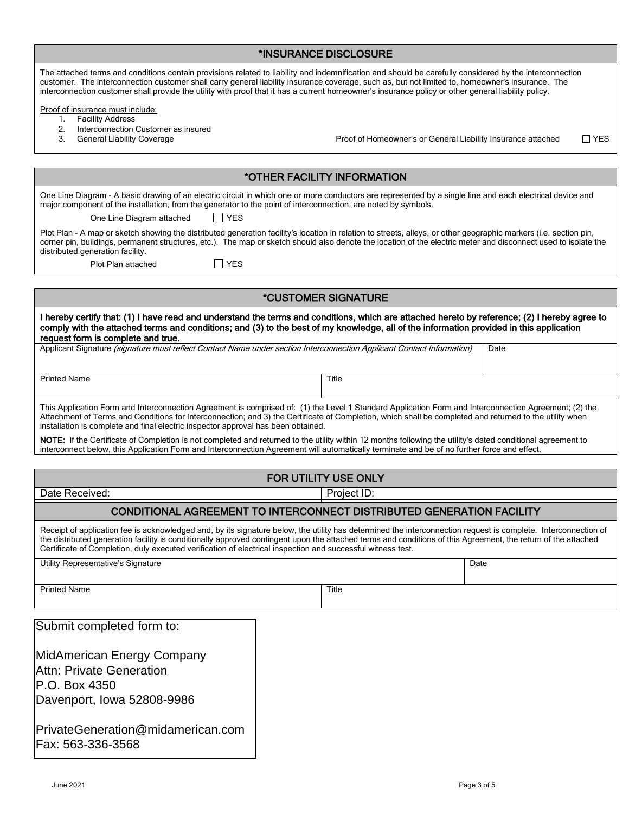| *INSURANCE DISCLOSURE |  |
|-----------------------|--|
|-----------------------|--|

|                                                                                                                                                                                                                                                                                                                                                                                                                                                                    |  | שטטריאויטב ביוטעבטטטווב                                      |               |  |  |  |  |  |
|--------------------------------------------------------------------------------------------------------------------------------------------------------------------------------------------------------------------------------------------------------------------------------------------------------------------------------------------------------------------------------------------------------------------------------------------------------------------|--|--------------------------------------------------------------|---------------|--|--|--|--|--|
| The attached terms and conditions contain provisions related to liability and indemnification and should be carefully considered by the interconnection<br>customer. The interconnection customer shall carry general liability insurance coverage, such as, but not limited to, homeowner's insurance. The<br>interconnection customer shall provide the utility with proof that it has a current homeowner's insurance policy or other general liability policy. |  |                                                              |               |  |  |  |  |  |
| Proof of insurance must include:                                                                                                                                                                                                                                                                                                                                                                                                                                   |  |                                                              |               |  |  |  |  |  |
| <b>Facility Address</b><br>1.                                                                                                                                                                                                                                                                                                                                                                                                                                      |  |                                                              |               |  |  |  |  |  |
| 2.<br>Interconnection Customer as insured<br>3.<br><b>General Liability Coverage</b>                                                                                                                                                                                                                                                                                                                                                                               |  | Proof of Homeowner's or General Liability Insurance attached | $\square$ YES |  |  |  |  |  |
|                                                                                                                                                                                                                                                                                                                                                                                                                                                                    |  |                                                              |               |  |  |  |  |  |
|                                                                                                                                                                                                                                                                                                                                                                                                                                                                    |  | *OTHER FACILITY INFORMATION                                  |               |  |  |  |  |  |
|                                                                                                                                                                                                                                                                                                                                                                                                                                                                    |  |                                                              |               |  |  |  |  |  |
| One Line Diagram - A basic drawing of an electric circuit in which one or more conductors are represented by a single line and each electrical device and<br>major component of the installation, from the generator to the point of interconnection, are noted by symbols.                                                                                                                                                                                        |  |                                                              |               |  |  |  |  |  |
| <b>YES</b><br>One Line Diagram attached                                                                                                                                                                                                                                                                                                                                                                                                                            |  |                                                              |               |  |  |  |  |  |
| Plot Plan - A map or sketch showing the distributed generation facility's location in relation to streets, alleys, or other geographic markers (i.e. section pin,<br>corner pin, buildings, permanent structures, etc.). The map or sketch should also denote the location of the electric meter and disconnect used to isolate the<br>distributed generation facility.                                                                                            |  |                                                              |               |  |  |  |  |  |
| $\Box$ YES<br>Plot Plan attached                                                                                                                                                                                                                                                                                                                                                                                                                                   |  |                                                              |               |  |  |  |  |  |
|                                                                                                                                                                                                                                                                                                                                                                                                                                                                    |  |                                                              |               |  |  |  |  |  |
|                                                                                                                                                                                                                                                                                                                                                                                                                                                                    |  | <i><b>*CUSTOMER SIGNATURE</b></i>                            |               |  |  |  |  |  |
| I hereby certify that: (1) I have read and understand the terms and conditions, which are attached hereto by reference; (2) I hereby agree to<br>comply with the attached terms and conditions; and (3) to the best of my knowledge, all of the information provided in this application<br>request form is complete and true.                                                                                                                                     |  |                                                              |               |  |  |  |  |  |
| Applicant Signature (signature must reflect Contact Name under section Interconnection Applicant Contact Information)                                                                                                                                                                                                                                                                                                                                              |  |                                                              | Date          |  |  |  |  |  |
|                                                                                                                                                                                                                                                                                                                                                                                                                                                                    |  |                                                              |               |  |  |  |  |  |
| <b>Printed Name</b>                                                                                                                                                                                                                                                                                                                                                                                                                                                |  | Title                                                        |               |  |  |  |  |  |
| This Application Form and Interconnection Agreement is comprised of: (1) the Level 1 Standard Application Form and Interconnection Agreement; (2) the<br>Attachment of Terms and Conditions for Interconnection; and 3) the Certificate of Completion, which shall be completed and returned to the utility when<br>installation is complete and final electric inspector approval has been obtained.                                                              |  |                                                              |               |  |  |  |  |  |
| NOTE: If the Certificate of Completion is not completed and returned to the utility within 12 months following the utility's dated conditional agreement to<br>interconnect below, this Application Form and Interconnection Agreement will automatically terminate and be of no further force and effect.                                                                                                                                                         |  |                                                              |               |  |  |  |  |  |
|                                                                                                                                                                                                                                                                                                                                                                                                                                                                    |  |                                                              |               |  |  |  |  |  |
|                                                                                                                                                                                                                                                                                                                                                                                                                                                                    |  | FOR UTILITY USE ONLY                                         |               |  |  |  |  |  |
| Date Received:<br>Project ID:                                                                                                                                                                                                                                                                                                                                                                                                                                      |  |                                                              |               |  |  |  |  |  |
| CONDITIONAL AGREEMENT TO INTERCONNECT DISTRIBUTED GENERATION FACILITY                                                                                                                                                                                                                                                                                                                                                                                              |  |                                                              |               |  |  |  |  |  |
| Receipt of application fee is acknowledged and, by its signature below, the utility has determined the interconnection request is complete. Interconnection of<br>the distributed generation facility is conditionally approved contingent upon the attached terms and conditions of this Agreement, the return of the attached<br>Certificate of Completion, duly executed verification of electrical inspection and successful witness test.                     |  |                                                              |               |  |  |  |  |  |
| Utility Representative's Signature                                                                                                                                                                                                                                                                                                                                                                                                                                 |  |                                                              | Date          |  |  |  |  |  |
| <b>Printed Name</b>                                                                                                                                                                                                                                                                                                                                                                                                                                                |  | Title                                                        |               |  |  |  |  |  |
|                                                                                                                                                                                                                                                                                                                                                                                                                                                                    |  |                                                              |               |  |  |  |  |  |
| Submit completed form to:                                                                                                                                                                                                                                                                                                                                                                                                                                          |  |                                                              |               |  |  |  |  |  |
| MidAmerican Energy Company                                                                                                                                                                                                                                                                                                                                                                                                                                         |  |                                                              |               |  |  |  |  |  |
| Attn: Private Generation                                                                                                                                                                                                                                                                                                                                                                                                                                           |  |                                                              |               |  |  |  |  |  |
| P.O. Box 4350                                                                                                                                                                                                                                                                                                                                                                                                                                                      |  |                                                              |               |  |  |  |  |  |
|                                                                                                                                                                                                                                                                                                                                                                                                                                                                    |  |                                                              |               |  |  |  |  |  |
| Davenport, Iowa 52808-9986                                                                                                                                                                                                                                                                                                                                                                                                                                         |  |                                                              |               |  |  |  |  |  |
| PrivateGeneration@midamerican.com                                                                                                                                                                                                                                                                                                                                                                                                                                  |  |                                                              |               |  |  |  |  |  |
| Fax: 563-336-3568                                                                                                                                                                                                                                                                                                                                                                                                                                                  |  |                                                              |               |  |  |  |  |  |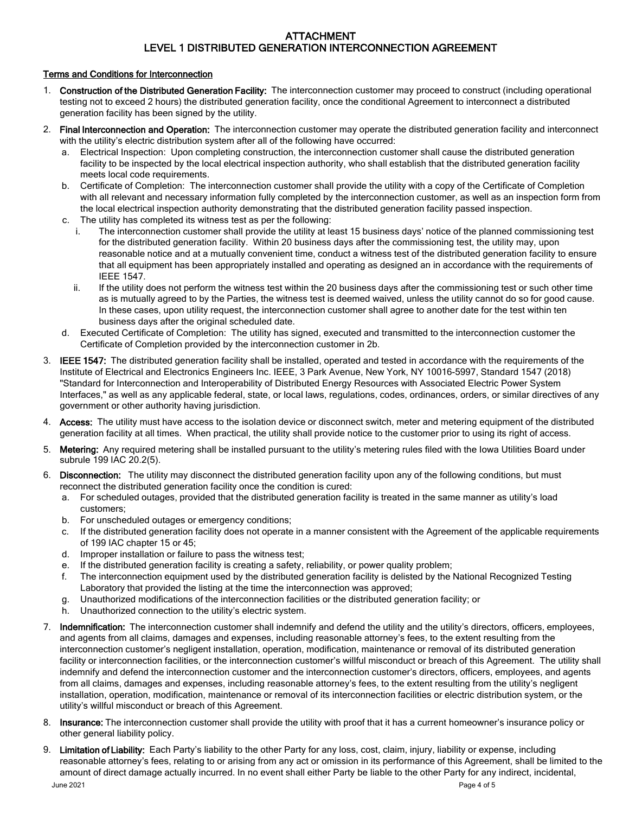## ATTACHMENT LEVEL 1 DISTRIBUTED GENERATION INTERCONNECTION AGREEMENT

### Terms and Conditions for Interconnection

- 1. Construction of the Distributed Generation Facility: The interconnection customer may proceed to construct (including operational testing not to exceed 2 hours) the distributed generation facility, once the conditional Agreement to interconnect a distributed generation facility has been signed by the utility.
- 2. Final Interconnection and Operation: The interconnection customer may operate the distributed generation facility and interconnect with the utility's electric distribution system after all of the following have occurred:
	- a. Electrical Inspection: Upon completing construction, the interconnection customer shall cause the distributed generation facility to be inspected by the local electrical inspection authority, who shall establish that the distributed generation facility meets local code requirements.
	- b. Certificate of Completion: The interconnection customer shall provide the utility with a copy of the Certificate of Completion with all relevant and necessary information fully completed by the interconnection customer, as well as an inspection form from the local electrical inspection authority demonstrating that the distributed generation facility passed inspection.
	- c. The utility has completed its witness test as per the following:
		- i. The interconnection customer shall provide the utility at least 15 business days' notice of the planned commissioning test for the distributed generation facility. Within 20 business days after the commissioning test, the utility may, upon reasonable notice and at a mutually convenient time, conduct a witness test of the distributed generation facility to ensure that all equipment has been appropriately installed and operating as designed an in accordance with the requirements of IEEE 1547.
		- ii. If the utility does not perform the witness test within the 20 business days after the commissioning test or such other time as is mutually agreed to by the Parties, the witness test is deemed waived, unless the utility cannot do so for good cause. In these cases, upon utility request, the interconnection customer shall agree to another date for the test within ten business days after the original scheduled date.
	- d. Executed Certificate of Completion: The utility has signed, executed and transmitted to the interconnection customer the Certificate of Completion provided by the interconnection customer in 2b.
- 3. IEEE 1547: The distributed generation facility shall be installed, operated and tested in accordance with the requirements of the Institute of Electrical and Electronics Engineers Inc. IEEE, 3 Park Avenue, New York, NY 10016-5997, Standard 1547 (2018) "Standard for Interconnection and Interoperability of Distributed Energy Resources with Associated Electric Power System Interfaces," as well as any applicable federal, state, or local laws, regulations, codes, ordinances, orders, or similar directives of any government or other authority having jurisdiction.
- 4. Access: The utility must have access to the isolation device or disconnect switch, meter and metering equipment of the distributed generation facility at all times. When practical, the utility shall provide notice to the customer prior to using its right of access.
- 5. Metering: Any required metering shall be installed pursuant to the utility's metering rules filed with the Iowa Utilities Board under subrule 199 IAC 20.2(5).
- 6. Disconnection: The utility may disconnect the distributed generation facility upon any of the following conditions, but must reconnect the distributed generation facility once the condition is cured:
	- a. For scheduled outages, provided that the distributed generation facility is treated in the same manner as utility's load customers;
	- b. For unscheduled outages or emergency conditions;
	- c. If the distributed generation facility does not operate in a manner consistent with the Agreement of the applicable requirements of 199 IAC chapter 15 or 45;
	- d. Improper installation or failure to pass the witness test;
	- e. If the distributed generation facility is creating a safety, reliability, or power quality problem;
	- f. The interconnection equipment used by the distributed generation facility is delisted by the National Recognized Testing Laboratory that provided the listing at the time the interconnection was approved;
	- g. Unauthorized modifications of the interconnection facilities or the distributed generation facility; or
	- h. Unauthorized connection to the utility's electric system.
- 7. Indemnification: The interconnection customer shall indemnify and defend the utility and the utility's directors, officers, employees, and agents from all claims, damages and expenses, including reasonable attorney's fees, to the extent resulting from the interconnection customer's negligent installation, operation, modification, maintenance or removal of its distributed generation facility or interconnection facilities, or the interconnection customer's willful misconduct or breach of this Agreement. The utility shall indemnify and defend the interconnection customer and the interconnection customer's directors, officers, employees, and agents from all claims, damages and expenses, including reasonable attorney's fees, to the extent resulting from the utility's negligent installation, operation, modification, maintenance or removal of its interconnection facilities or electric distribution system, or the utility's willful misconduct or breach of this Agreement.
- 8. Insurance: The interconnection customer shall provide the utility with proof that it has a current homeowner's insurance policy or other general liability policy.
- 9. Limitation of Liability: Each Party's liability to the other Party for any loss, cost, claim, injury, liability or expense, including reasonable attorney's fees, relating to or arising from any act or omission in its performance of this Agreement, shall be limited to the amount of direct damage actually incurred. In no event shall either Party be liable to the other Party for any indirect, incidental,